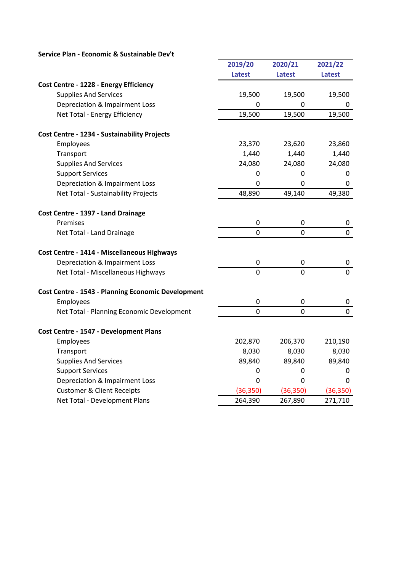| Service Plan - Economic & Sustainable Dev't |  |  |
|---------------------------------------------|--|--|
|---------------------------------------------|--|--|

|                                                           | 2019/20          | 2020/21       | 2021/22        |
|-----------------------------------------------------------|------------------|---------------|----------------|
|                                                           | <b>Latest</b>    | <b>Latest</b> | <b>Latest</b>  |
| Cost Centre - 1228 - Energy Efficiency                    |                  |               |                |
| <b>Supplies And Services</b>                              | 19,500           | 19,500        | 19,500         |
| Depreciation & Impairment Loss                            | 0                | 0             | 0              |
| Net Total - Energy Efficiency                             | 19,500           | 19,500        | 19,500         |
| Cost Centre - 1234 - Sustainability Projects              |                  |               |                |
| Employees                                                 | 23,370           | 23,620        | 23,860         |
| Transport                                                 | 1,440            | 1,440         | 1,440          |
| <b>Supplies And Services</b>                              | 24,080           | 24,080        | 24,080         |
| <b>Support Services</b>                                   | $\mathbf 0$      | 0             | 0              |
| Depreciation & Impairment Loss                            | $\mathbf 0$      | 0             | 0              |
| Net Total - Sustainability Projects                       | 48,890           | 49,140        | 49,380         |
| Cost Centre - 1397 - Land Drainage                        |                  |               |                |
| Premises                                                  | 0                | $\pmb{0}$     | 0              |
| Net Total - Land Drainage                                 | $\mathbf 0$      | $\mathbf 0$   | $\mathbf 0$    |
| <b>Cost Centre - 1414 - Miscellaneous Highways</b>        |                  |               |                |
| Depreciation & Impairment Loss                            | $\boldsymbol{0}$ | 0             | 0              |
| Net Total - Miscellaneous Highways                        | $\mathbf 0$      | $\mathbf 0$   | $\pmb{0}$      |
| <b>Cost Centre - 1543 - Planning Economic Development</b> |                  |               |                |
| Employees                                                 | $\mathbf 0$      | 0             | 0              |
| Net Total - Planning Economic Development                 | $\overline{0}$   | 0             | $\overline{0}$ |
| Cost Centre - 1547 - Development Plans                    |                  |               |                |
| Employees                                                 | 202,870          | 206,370       | 210,190        |
| Transport                                                 | 8,030            | 8,030         | 8,030          |
| <b>Supplies And Services</b>                              | 89,840           | 89,840        | 89,840         |
| <b>Support Services</b>                                   | $\mathbf 0$      | 0             | 0              |
| Depreciation & Impairment Loss                            | $\mathbf 0$      | 0             | 0              |
| <b>Customer &amp; Client Receipts</b>                     | (36, 350)        | (36, 350)     | (36, 350)      |
| Net Total - Development Plans                             | 264,390          | 267,890       | 271,710        |